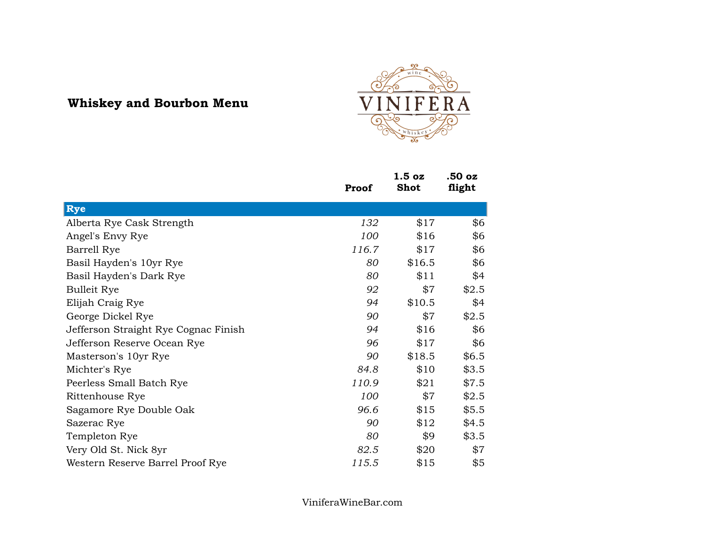## **Whiskey and Bourbon Menu**



|                                      | Proof | 1.5 <sub>oz</sub><br><b>Shot</b> | .50 oz<br>flight |
|--------------------------------------|-------|----------------------------------|------------------|
| Rye                                  |       |                                  |                  |
| Alberta Rye Cask Strength            | 132   | \$17                             | \$6              |
| Angel's Envy Rye                     | 100   | \$16                             | \$6              |
| Barrell Rye                          | 116.7 | \$17                             | \$6              |
| Basil Hayden's 10yr Rye              | 80    | \$16.5                           | \$6              |
| Basil Hayden's Dark Rye              | 80    | \$11                             | \$4              |
| <b>Bulleit Rye</b>                   | 92    | \$7                              | \$2.5            |
| Elijah Craig Rye                     | 94    | \$10.5                           | \$4              |
| George Dickel Rye                    | 90    | \$7                              | \$2.5            |
| Jefferson Straight Rye Cognac Finish | 94    | \$16                             | \$6              |
| Jefferson Reserve Ocean Rye          | 96    | \$17                             | \$6              |
| Masterson's 10yr Rye                 | 90    | \$18.5                           | \$6.5            |
| Michter's Rye                        | 84.8  | \$10                             | \$3.5            |
| Peerless Small Batch Rye             | 110.9 | \$21                             | \$7.5            |
| Rittenhouse Rye                      | 100   | \$7                              | \$2.5            |
| Sagamore Rye Double Oak              | 96.6  | \$15                             | \$5.5            |
| Sazerac Rye                          | 90    | \$12                             | \$4.5            |
| Templeton Rye                        | 80    | \$9                              | \$3.5            |
| Very Old St. Nick 8yr                | 82.5  | \$20                             | \$7              |
| Western Reserve Barrel Proof Rye     | 115.5 | \$15                             | \$5              |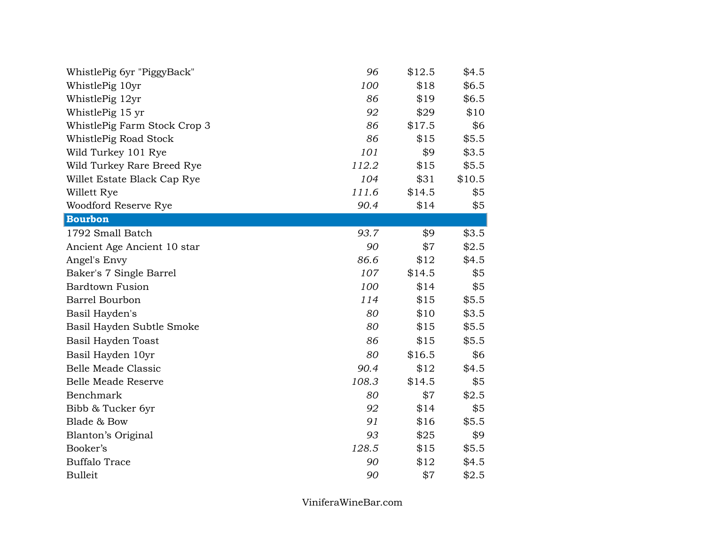| WhistlePig 6yr "PiggyBack"   | 96    | \$12.5 | \$4.5  |
|------------------------------|-------|--------|--------|
| WhistlePig 10yr              | 100   | \$18   | \$6.5  |
| WhistlePig 12yr              | 86    | \$19   | \$6.5  |
| WhistlePig 15 yr             | 92    | \$29   | \$10   |
| WhistlePig Farm Stock Crop 3 | 86    | \$17.5 | \$6    |
| WhistlePig Road Stock        | 86    | \$15   | \$5.5  |
| Wild Turkey 101 Rye          | 101   | \$9    | \$3.5  |
| Wild Turkey Rare Breed Rye   | 112.2 | \$15   | \$5.5  |
| Willet Estate Black Cap Rye  | 104   | \$31   | \$10.5 |
| Willett Rye                  | 111.6 | \$14.5 | \$5    |
| Woodford Reserve Rye         | 90.4  | \$14   | \$5    |
| <b>Bourbon</b>               |       |        |        |
| 1792 Small Batch             | 93.7  | \$9    | \$3.5  |
| Ancient Age Ancient 10 star  | 90    | \$7    | \$2.5  |
| Angel's Envy                 | 86.6  | \$12   | \$4.5  |
| Baker's 7 Single Barrel      | 107   | \$14.5 | \$5    |
| <b>Bardtown Fusion</b>       | 100   | \$14   | \$5    |
| <b>Barrel Bourbon</b>        | 114   | \$15   | \$5.5  |
| Basil Hayden's               | 80    | \$10   | \$3.5  |
| Basil Hayden Subtle Smoke    | 80    | \$15   | \$5.5  |
| Basil Hayden Toast           | 86    | \$15   | \$5.5  |
| Basil Hayden 10yr            | 80    | \$16.5 | \$6    |
| <b>Belle Meade Classic</b>   | 90.4  | \$12   | \$4.5  |
| <b>Belle Meade Reserve</b>   | 108.3 | \$14.5 | \$5    |
| Benchmark                    | 80    | \$7    | \$2.5  |
| Bibb & Tucker 6yr            | 92    | \$14   | \$5    |
| Blade & Bow                  | 91    | \$16   | \$5.5  |
| Blanton's Original           | 93    | \$25   | \$9    |
| Booker's                     | 128.5 | \$15   | \$5.5  |
| <b>Buffalo Trace</b>         | 90    | \$12   | \$4.5  |
| <b>Bulleit</b>               | 90    | \$7    | \$2.5  |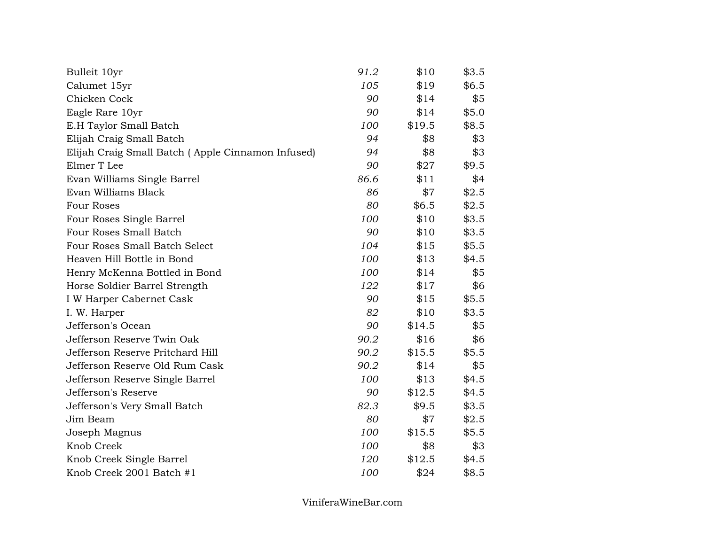| Bulleit 10yr                                      | 91.2 | \$10   | \$3.5 |
|---------------------------------------------------|------|--------|-------|
| Calumet 15yr                                      | 105  | \$19   | \$6.5 |
| Chicken Cock                                      | 90   | \$14   | \$5   |
| Eagle Rare 10yr                                   | 90   | \$14   | \$5.0 |
| E.H Taylor Small Batch                            | 100  | \$19.5 | \$8.5 |
| Elijah Craig Small Batch                          | 94   | \$8    | \$3   |
| Elijah Craig Small Batch (Apple Cinnamon Infused) | 94   | \$8    | \$3   |
| Elmer T Lee                                       | 90   | \$27   | \$9.5 |
| Evan Williams Single Barrel                       | 86.6 | \$11   | \$4   |
| Evan Williams Black                               | 86   | \$7    | \$2.5 |
| <b>Four Roses</b>                                 | 80   | \$6.5  | \$2.5 |
| Four Roses Single Barrel                          | 100  | \$10   | \$3.5 |
| Four Roses Small Batch                            | 90   | \$10   | \$3.5 |
| Four Roses Small Batch Select                     | 104  | \$15   | \$5.5 |
| Heaven Hill Bottle in Bond                        | 100  | \$13   | \$4.5 |
| Henry McKenna Bottled in Bond                     | 100  | \$14   | \$5   |
| Horse Soldier Barrel Strength                     | 122  | \$17   | \$6   |
| I W Harper Cabernet Cask                          | 90   | \$15   | \$5.5 |
| I. W. Harper                                      | 82   | \$10   | \$3.5 |
| Jefferson's Ocean                                 | 90   | \$14.5 | \$5   |
| Jefferson Reserve Twin Oak                        | 90.2 | \$16   | \$6   |
| Jefferson Reserve Pritchard Hill                  | 90.2 | \$15.5 | \$5.5 |
| Jefferson Reserve Old Rum Cask                    | 90.2 | \$14   | \$5   |
| Jefferson Reserve Single Barrel                   | 100  | \$13   | \$4.5 |
| Jefferson's Reserve                               | 90   | \$12.5 | \$4.5 |
| Jefferson's Very Small Batch                      | 82.3 | \$9.5  | \$3.5 |
| Jim Beam                                          | 80   | \$7    | \$2.5 |
| Joseph Magnus                                     | 100  | \$15.5 | \$5.5 |
| Knob Creek                                        | 100  | \$8    | \$3   |
| Knob Creek Single Barrel                          | 120  | \$12.5 | \$4.5 |
| Knob Creek 2001 Batch #1                          | 100  | \$24   | \$8.5 |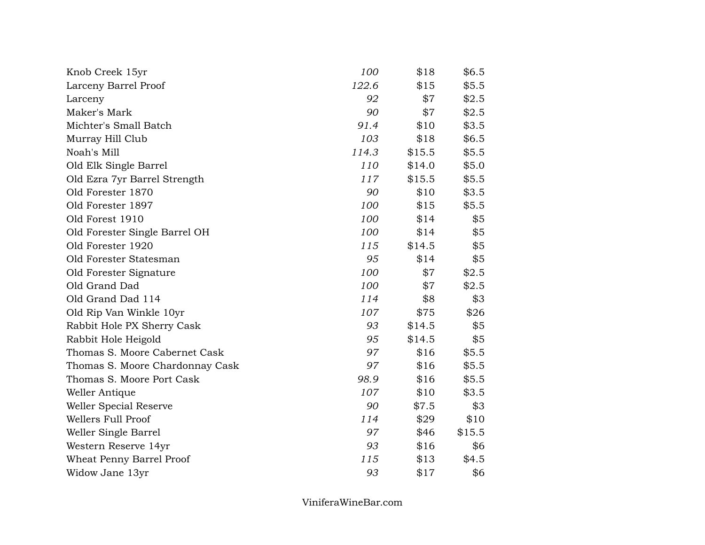| Knob Creek 15yr                 | 100   | \$18   | \$6.5  |
|---------------------------------|-------|--------|--------|
| Larceny Barrel Proof            | 122.6 | \$15   | \$5.5  |
| Larceny                         | 92    | \$7    | \$2.5  |
| Maker's Mark                    | 90    | \$7    | \$2.5  |
| Michter's Small Batch           | 91.4  | \$10   | \$3.5  |
| Murray Hill Club                | 103   | \$18   | \$6.5  |
| Noah's Mill                     | 114.3 | \$15.5 | \$5.5  |
| Old Elk Single Barrel           | 110   | \$14.0 | \$5.0  |
| Old Ezra 7yr Barrel Strength    | 117   | \$15.5 | \$5.5  |
| Old Forester 1870               | 90    | \$10   | \$3.5  |
| Old Forester 1897               | 100   | \$15   | \$5.5  |
| Old Forest 1910                 | 100   | \$14   | \$5    |
| Old Forester Single Barrel OH   | 100   | \$14   | \$5    |
| Old Forester 1920               | 115   | \$14.5 | \$5    |
| Old Forester Statesman          | 95    | \$14   | \$5    |
| Old Forester Signature          | 100   | \$7    | \$2.5  |
| Old Grand Dad                   | 100   | \$7    | \$2.5  |
| Old Grand Dad 114               | 114   | \$8    | \$3    |
| Old Rip Van Winkle 10yr         | 107   | \$75   | \$26   |
| Rabbit Hole PX Sherry Cask      | 93    | \$14.5 | \$5    |
| Rabbit Hole Heigold             | 95    | \$14.5 | \$5    |
| Thomas S. Moore Cabernet Cask   | 97    | \$16   | \$5.5  |
| Thomas S. Moore Chardonnay Cask | 97    | \$16   | \$5.5  |
| Thomas S. Moore Port Cask       | 98.9  | \$16   | \$5.5  |
| Weller Antique                  | 107   | \$10   | \$3.5  |
| Weller Special Reserve          | 90    | \$7.5  | \$3    |
| Wellers Full Proof              | 114   | \$29   | \$10   |
| Weller Single Barrel            | 97    | \$46   | \$15.5 |
| Western Reserve 14yr            | 93    | \$16   | \$6    |
| Wheat Penny Barrel Proof        | 115   | \$13   | \$4.5  |
| Widow Jane 13yr                 | 93    | \$17   | \$6    |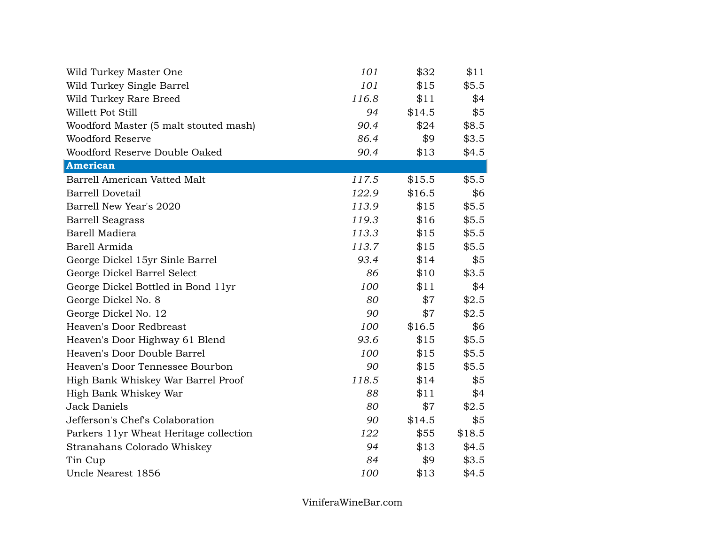| Wild Turkey Master One                 | 101   | \$32   | \$11   |
|----------------------------------------|-------|--------|--------|
| Wild Turkey Single Barrel              | 101   | \$15   | \$5.5  |
| Wild Turkey Rare Breed                 | 116.8 | \$11   | \$4    |
| Willett Pot Still                      | 94    | \$14.5 | \$5    |
| Woodford Master (5 malt stouted mash)  | 90.4  | \$24   | \$8.5  |
| <b>Woodford Reserve</b>                | 86.4  | \$9    | \$3.5  |
| Woodford Reserve Double Oaked          | 90.4  | \$13   | \$4.5  |
| <b>American</b>                        |       |        |        |
| Barrell American Vatted Malt           | 117.5 | \$15.5 | \$5.5  |
| <b>Barrell Dovetail</b>                | 122.9 | \$16.5 | \$6    |
| Barrell New Year's 2020                | 113.9 | \$15   | \$5.5  |
| <b>Barrell Seagrass</b>                | 119.3 | \$16   | \$5.5  |
| Barell Madiera                         | 113.3 | \$15   | \$5.5  |
| Barell Armida                          | 113.7 | \$15   | \$5.5  |
| George Dickel 15yr Sinle Barrel        | 93.4  | \$14   | \$5    |
| George Dickel Barrel Select            | 86    | \$10   | \$3.5  |
| George Dickel Bottled in Bond 11yr     | 100   | \$11   | \$4    |
| George Dickel No. 8                    | 80    | \$7    | \$2.5  |
| George Dickel No. 12                   | 90    | \$7    | \$2.5  |
| Heaven's Door Redbreast                | 100   | \$16.5 | \$6    |
| Heaven's Door Highway 61 Blend         | 93.6  | \$15   | \$5.5  |
| Heaven's Door Double Barrel            | 100   | \$15   | \$5.5  |
| Heaven's Door Tennessee Bourbon        | 90    | \$15   | \$5.5  |
| High Bank Whiskey War Barrel Proof     | 118.5 | \$14   | \$5    |
| High Bank Whiskey War                  | 88    | \$11   | \$4    |
| <b>Jack Daniels</b>                    | 80    | \$7    | \$2.5  |
| Jefferson's Chef's Colaboration        | 90    | \$14.5 | \$5    |
| Parkers 11yr Wheat Heritage collection | 122   | \$55   | \$18.5 |
| Stranahans Colorado Whiskey            | 94    | \$13   | \$4.5  |
| Tin Cup                                | 84    | \$9    | \$3.5  |
| Uncle Nearest 1856                     | 100   | \$13   | \$4.5  |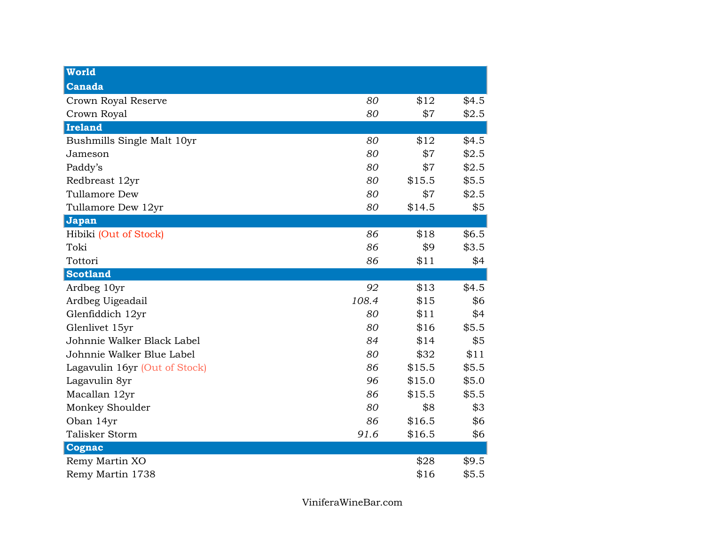| <b>World</b>                  |       |        |       |
|-------------------------------|-------|--------|-------|
| Canada                        |       |        |       |
| Crown Royal Reserve           | 80    | \$12   | \$4.5 |
| Crown Royal                   | 80    | \$7    | \$2.5 |
| <b>Ireland</b>                |       |        |       |
| Bushmills Single Malt 10yr    | 80    | \$12   | \$4.5 |
| Jameson                       | 80    | \$7    | \$2.5 |
| Paddy's                       | 80    | \$7    | \$2.5 |
| Redbreast 12yr                | 80    | \$15.5 | \$5.5 |
| Tullamore Dew                 | 80    | \$7    | \$2.5 |
| Tullamore Dew 12yr            | 80    | \$14.5 | \$5   |
| Japan                         |       |        |       |
| Hibiki (Out of Stock)         | 86    | \$18   | \$6.5 |
| Toki                          | 86    | \$9    | \$3.5 |
| Tottori                       | 86    | \$11   | \$4   |
| <b>Scotland</b>               |       |        |       |
| Ardbeg 10yr                   | 92    | \$13   | \$4.5 |
| Ardbeg Uigeadail              | 108.4 | \$15   | \$6   |
| Glenfiddich 12yr              | 80    | \$11   | \$4   |
| Glenlivet 15yr                | 80    | \$16   | \$5.5 |
| Johnnie Walker Black Label    | 84    | \$14   | \$5   |
| Johnnie Walker Blue Label     | 80    | \$32   | \$11  |
| Lagavulin 16yr (Out of Stock) | 86    | \$15.5 | \$5.5 |
| Lagavulin 8yr                 | 96    | \$15.0 | \$5.0 |
| Macallan 12yr                 | 86    | \$15.5 | \$5.5 |
| Monkey Shoulder               | 80    | \$8    | \$3   |
| Oban 14yr                     | 86    | \$16.5 | \$6   |
| Talisker Storm                | 91.6  | \$16.5 | \$6   |
|                               |       |        |       |
| Cognac                        |       |        |       |
| Remy Martin XO                |       | \$28   | \$9.5 |